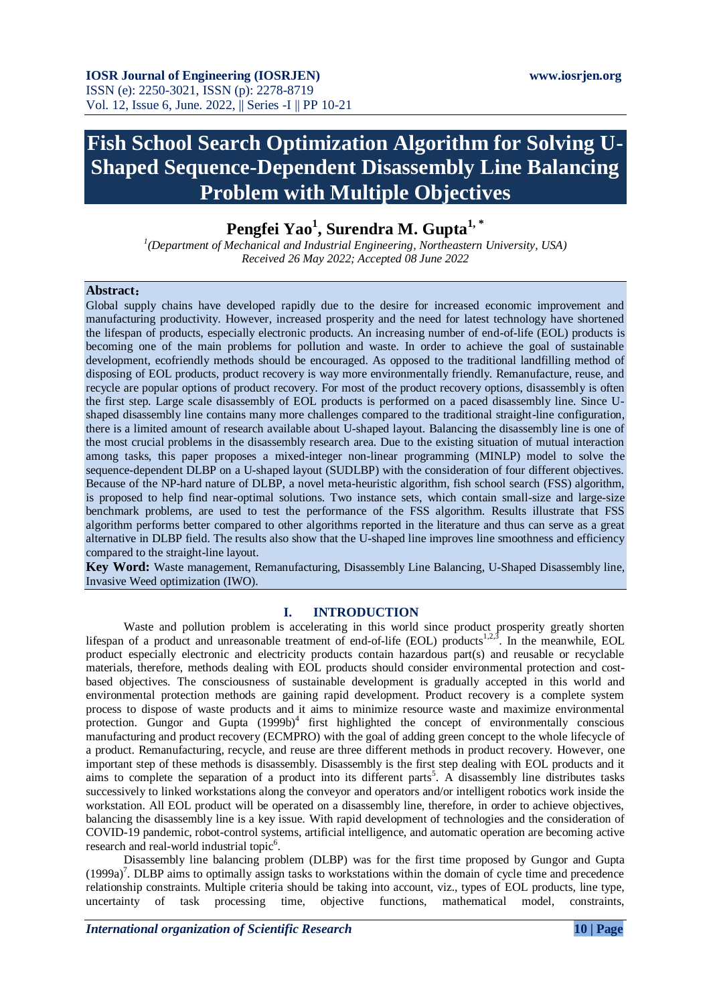# **Fish School Search Optimization Algorithm for Solving U-Shaped Sequence-Dependent Disassembly Line Balancing Problem with Multiple Objectives**

**Pengfei Yao<sup>1</sup> , Surendra M. Gupta1, \***

*1 (Department of Mechanical and Industrial Engineering, Northeastern University, USA) Received 26 May 2022; Accepted 08 June 2022*

#### **Abstract**:

Global supply chains have developed rapidly due to the desire for increased economic improvement and manufacturing productivity. However, increased prosperity and the need for latest technology have shortened the lifespan of products, especially electronic products. An increasing number of end-of-life (EOL) products is becoming one of the main problems for pollution and waste. In order to achieve the goal of sustainable development, ecofriendly methods should be encouraged. As opposed to the traditional landfilling method of disposing of EOL products, product recovery is way more environmentally friendly. Remanufacture, reuse, and recycle are popular options of product recovery. For most of the product recovery options, disassembly is often the first step. Large scale disassembly of EOL products is performed on a paced disassembly line. Since Ushaped disassembly line contains many more challenges compared to the traditional straight-line configuration, there is a limited amount of research available about U-shaped layout. Balancing the disassembly line is one of the most crucial problems in the disassembly research area. Due to the existing situation of mutual interaction among tasks, this paper proposes a mixed-integer non-linear programming (MINLP) model to solve the sequence-dependent DLBP on a U-shaped layout (SUDLBP) with the consideration of four different objectives. Because of the NP-hard nature of DLBP, a novel meta-heuristic algorithm, fish school search (FSS) algorithm, is proposed to help find near-optimal solutions. Two instance sets, which contain small-size and large-size benchmark problems, are used to test the performance of the FSS algorithm. Results illustrate that FSS algorithm performs better compared to other algorithms reported in the literature and thus can serve as a great alternative in DLBP field. The results also show that the U-shaped line improves line smoothness and efficiency compared to the straight-line layout.

**Key Word:** Waste management, Remanufacturing, Disassembly Line Balancing, U-Shaped Disassembly line, Invasive Weed optimization (IWO).

#### **I. INTRODUCTION**

Waste and pollution problem is accelerating in this world since product prosperity greatly shorten lifespan of a product and unreasonable treatment of end-of-life (EOL) products<sup>1,2,3</sup>. In the meanwhile, EOL product especially electronic and electricity products contain hazardous part(s) and reusable or recyclable materials, therefore, methods dealing with EOL products should consider environmental protection and costbased objectives. The consciousness of sustainable development is gradually accepted in this world and environmental protection methods are gaining rapid development. Product recovery is a complete system process to dispose of waste products and it aims to minimize resource waste and maximize environmental protection. Gungor and Gupta  $(1999b)^4$  first highlighted the concept of environmentally conscious manufacturing and product recovery (ECMPRO) with the goal of adding green concept to the whole lifecycle of a product. Remanufacturing, recycle, and reuse are three different methods in product recovery. However, one important step of these methods is disassembly. Disassembly is the first step dealing with EOL products and it aims to complete the separation of a product into its different parts<sup>5</sup>. A disassembly line distributes tasks successively to linked workstations along the conveyor and operators and/or intelligent robotics work inside the workstation. All EOL product will be operated on a disassembly line, therefore, in order to achieve objectives, balancing the disassembly line is a key issue. With rapid development of technologies and the consideration of COVID-19 pandemic, robot-control systems, artificial intelligence, and automatic operation are becoming active research and real-world industrial topic<sup>6</sup>.

Disassembly line balancing problem (DLBP) was for the first time proposed by Gungor and Gupta (1999a)<sup>7</sup>. DLBP aims to optimally assign tasks to workstations within the domain of cycle time and precedence relationship constraints. Multiple criteria should be taking into account, viz., types of EOL products, line type, uncertainty of task processing time, objective functions, mathematical model, constraints,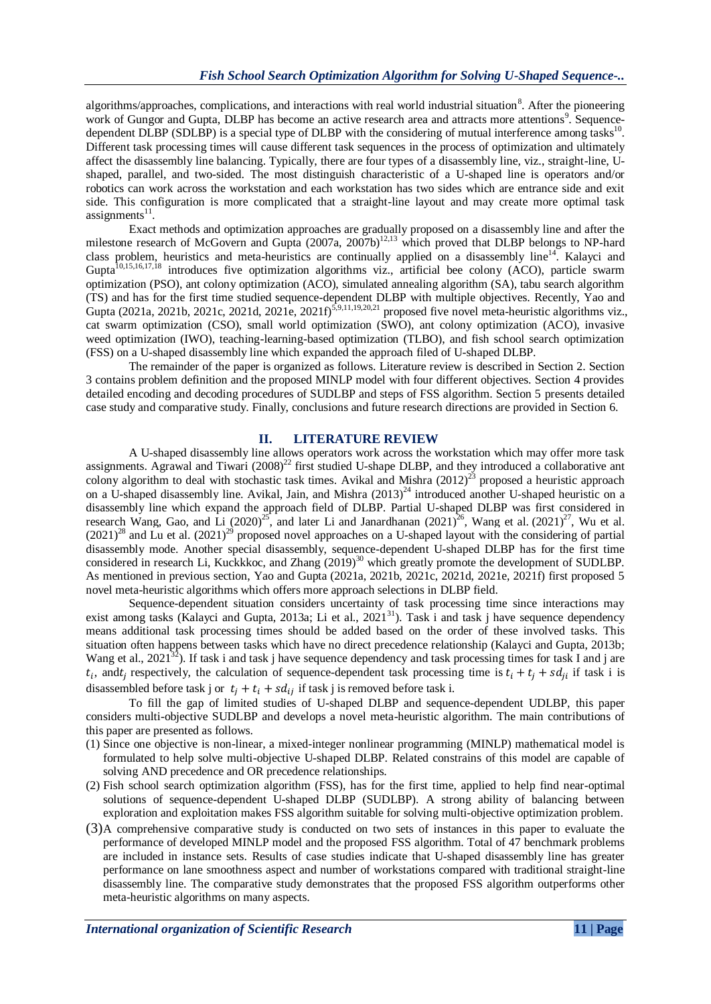algorithms/approaches, complications, and interactions with real world industrial situation<sup>8</sup>. After the pioneering work of Gungor and Gupta, DLBP has become an active research area and attracts more attentions<sup>9</sup>. Sequencedependent DLBP (SDLBP) is a special type of DLBP with the considering of mutual interference among tasks $^{10}$ . Different task processing times will cause different task sequences in the process of optimization and ultimately affect the disassembly line balancing. Typically, there are four types of a disassembly line, viz., straight-line, Ushaped, parallel, and two-sided. The most distinguish characteristic of a U-shaped line is operators and/or robotics can work across the workstation and each workstation has two sides which are entrance side and exit side. This configuration is more complicated that a straight-line layout and may create more optimal task assignments<sup>11</sup>.

Exact methods and optimization approaches are gradually proposed on a disassembly line and after the milestone research of McGovern and Gupta (2007a, 2007b)<sup>12,13</sup> which proved that DLBP belongs to NP-hard class problem, heuristics and meta-heuristics are continually applied on a disassembly line<sup>14</sup>. Kalayci and Gupta<sup>10,15,16,17,18</sup> introduces five optimization algorithms viz., artificial bee colony (ACO), particle swarm optimization (PSO), ant colony optimization (ACO), simulated annealing algorithm (SA), tabu search algorithm (TS) and has for the first time studied sequence-dependent DLBP with multiple objectives. Recently, Yao and Gupta (2021a, 2021b, 2021c, 2021d, 2021e, 2021f)<sup>5,9,11,19,20,21</sup> proposed five novel meta-heuristic algorithms viz., cat swarm optimization (CSO), small world optimization (SWO), ant colony optimization (ACO), invasive weed optimization (IWO), teaching-learning-based optimization (TLBO), and fish school search optimization (FSS) on a U-shaped disassembly line which expanded the approach filed of U-shaped DLBP.

The remainder of the paper is organized as follows. Literature review is described in Section 2. Section 3 contains problem definition and the proposed MINLP model with four different objectives. Section 4 provides detailed encoding and decoding procedures of SUDLBP and steps of FSS algorithm. Section 5 presents detailed case study and comparative study. Finally, conclusions and future research directions are provided in Section 6.

#### **II. LITERATURE REVIEW**

A U-shaped disassembly line allows operators work across the workstation which may offer more task assignments. Agrawal and Tiwari  $(2008)^{22}$  first studied U-shape DLBP, and they introduced a collaborative ant colony algorithm to deal with stochastic task times. Avikal and Mishra  $(2012)^{23}$  proposed a heuristic approach on a U-shaped disassembly line. Avikal, Jain, and Mishra  $(2013)^{24}$  introduced another U-shaped heuristic on a disassembly line which expand the approach field of DLBP. Partial U-shaped DLBP was first considered in research Wang, Gao, and Li  $(2020)^{25}$ , and later Li and Janardhanan  $(2021)^{26}$ , Wang et al.  $(2021)^{27}$ , Wu et al.  $(2021)^{28}$  and Lu et al.  $(2021)^{29}$  proposed novel approaches on a U-shaped layout with the considering of partial disassembly mode. Another special disassembly, sequence-dependent U-shaped DLBP has for the first time considered in research Li, Kuckkkoc, and Zhang (2019)<sup>30</sup> which greatly promote the development of SUDLBP. As mentioned in previous section, Yao and Gupta (2021a, 2021b, 2021c, 2021d, 2021e, 2021f) first proposed 5 novel meta-heuristic algorithms which offers more approach selections in DLBP field.

Sequence-dependent situation considers uncertainty of task processing time since interactions may exist among tasks (Kalayci and Gupta, 2013a; Li et al., 2021<sup>31</sup>). Task i and task j have sequence dependency means additional task processing times should be added based on the order of these involved tasks. This situation often happens between tasks which have no direct precedence relationship (Kalayci and Gupta, 2013b; Wang et al.,  $2021^{32}$ ). If task i and task j have sequence dependency and task processing times for task I and j are  $t_i$ , and t respectively, the calculation of sequence-dependent task processing time is  $t_i + t_j + s d_{ii}$  if task i is disassembled before task j or  $t_i + t_i + sd_{ij}$  if task j is removed before task i.

To fill the gap of limited studies of U-shaped DLBP and sequence-dependent UDLBP, this paper considers multi-objective SUDLBP and develops a novel meta-heuristic algorithm. The main contributions of this paper are presented as follows.

- (1) Since one objective is non-linear, a mixed-integer nonlinear programming (MINLP) mathematical model is formulated to help solve multi-objective U-shaped DLBP. Related constrains of this model are capable of solving AND precedence and OR precedence relationships.
- (2) Fish school search optimization algorithm (FSS), has for the first time, applied to help find near-optimal solutions of sequence-dependent U-shaped DLBP (SUDLBP). A strong ability of balancing between exploration and exploitation makes FSS algorithm suitable for solving multi-objective optimization problem.
- (3)A comprehensive comparative study is conducted on two sets of instances in this paper to evaluate the performance of developed MINLP model and the proposed FSS algorithm. Total of 47 benchmark problems are included in instance sets. Results of case studies indicate that U-shaped disassembly line has greater performance on lane smoothness aspect and number of workstations compared with traditional straight-line disassembly line. The comparative study demonstrates that the proposed FSS algorithm outperforms other meta-heuristic algorithms on many aspects.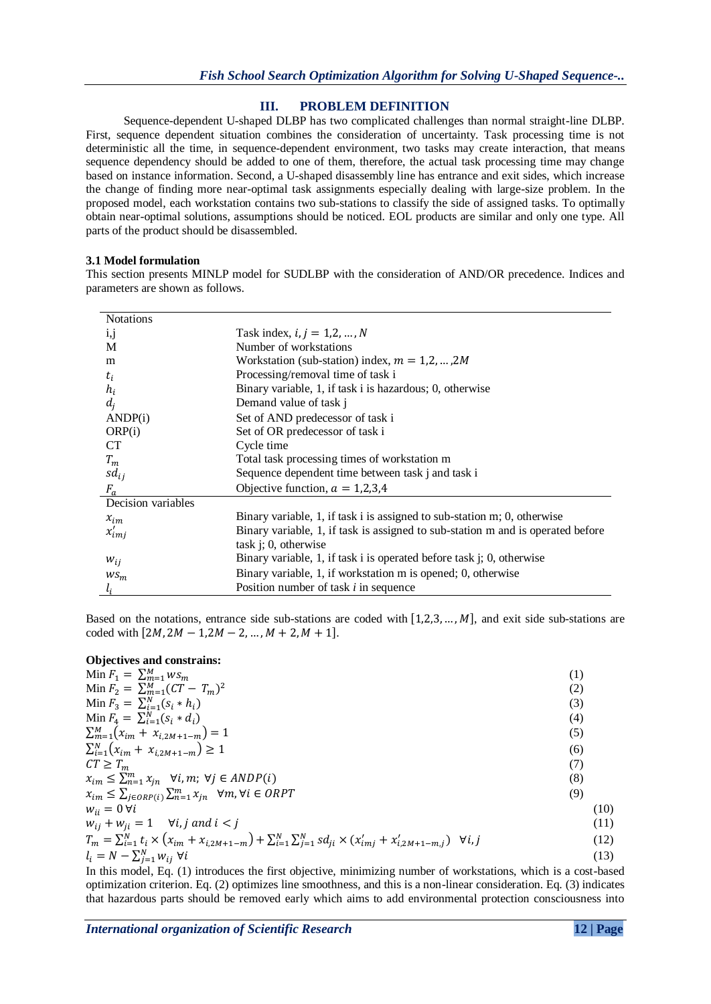# **III. PROBLEM DEFINITION**

Sequence-dependent U-shaped DLBP has two complicated challenges than normal straight-line DLBP. First, sequence dependent situation combines the consideration of uncertainty. Task processing time is not deterministic all the time, in sequence-dependent environment, two tasks may create interaction, that means sequence dependency should be added to one of them, therefore, the actual task processing time may change based on instance information. Second, a U-shaped disassembly line has entrance and exit sides, which increase the change of finding more near-optimal task assignments especially dealing with large-size problem. In the proposed model, each workstation contains two sub-stations to classify the side of assigned tasks. To optimally obtain near-optimal solutions, assumptions should be noticed. EOL products are similar and only one type. All parts of the product should be disassembled.

## **3.1 Model formulation**

This section presents MINLP model for SUDLBP with the consideration of AND/OR precedence. Indices and parameters are shown as follows.

| <b>Notations</b>   |                                                                                 |
|--------------------|---------------------------------------------------------------------------------|
| 1,1                | Task index, $i, j = 1, 2, , N$                                                  |
| M                  | Number of workstations                                                          |
| m                  | Workstation (sub-station) index, $m = 1, 2, , 2M$                               |
| $t_i$              | Processing/removal time of task i                                               |
| $h_i$              | Binary variable, 1, if task i is hazardous; 0, otherwise                        |
| $d_i$              | Demand value of task j                                                          |
| ANDP(i)            | Set of AND predecessor of task i                                                |
| ORP(i)             | Set of OR predecessor of task i                                                 |
| <b>CT</b>          | Cycle time                                                                      |
| $T_m$              | Total task processing times of workstation m                                    |
| $sd_{ij}$          | Sequence dependent time between task j and task i                               |
| $F_a$              | Objective function, $a = 1,2,3,4$                                               |
| Decision variables |                                                                                 |
| $x_{im}$           | Binary variable, 1, if task i is assigned to sub-station m; 0, otherwise        |
| $x'_{imj}$         | Binary variable, 1, if task is assigned to sub-station m and is operated before |
|                    | task $i$ ; 0, otherwise                                                         |
| $W_{ij}$           | Binary variable, 1, if task i is operated before task j; 0, otherwise           |
| $WS_m$             | Binary variable, 1, if workstation m is opened; 0, otherwise                    |
| $l_i$              | Position number of task <i>i</i> in sequence                                    |

Based on the notations, entrance side sub-stations are coded with  $[1,2,3,...,M]$ , and exit side sub-stations are coded with  $[2M, 2M - 1, 2M - 2, ..., M + 2, M + 1].$ 

#### **Objectives and constrains:**

| (1)  |
|------|
| (2)  |
| (3)  |
| (4)  |
| (5)  |
| (6)  |
| (7)  |
| (8)  |
| (9)  |
| (10) |
| (11) |
| (12) |
| (13) |
|      |

In this model, Eq. (1) introduces the first objective, minimizing number of workstations, which is a cost-based optimization criterion. Eq. (2) optimizes line smoothness, and this is a non-linear consideration. Eq. (3) indicates that hazardous parts should be removed early which aims to add environmental protection consciousness into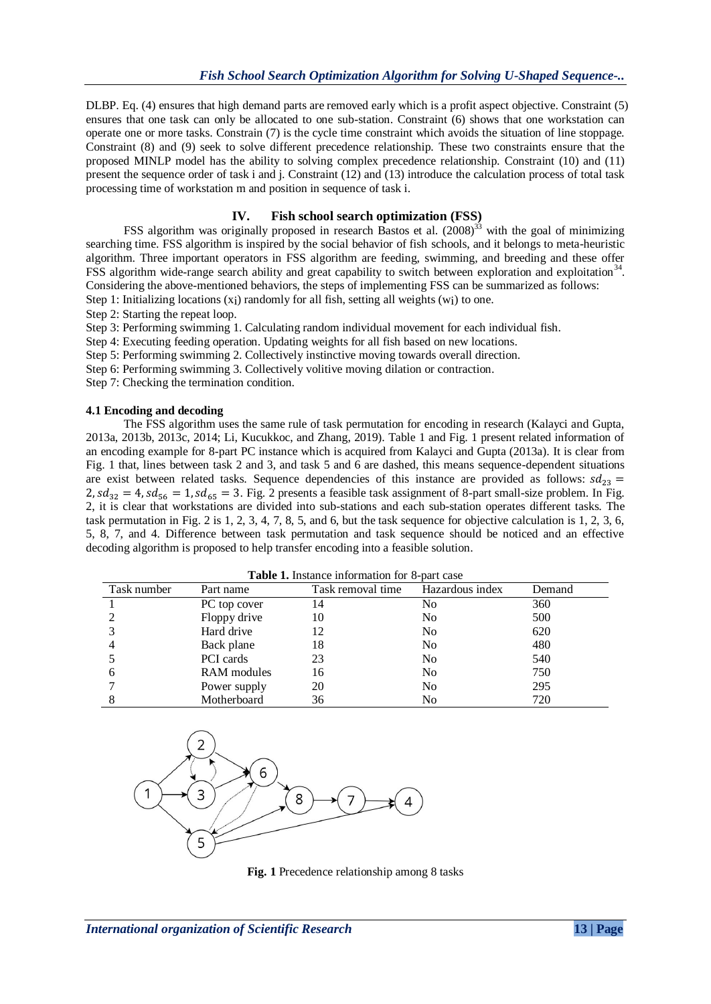DLBP. Eq. (4) ensures that high demand parts are removed early which is a profit aspect objective. Constraint (5) ensures that one task can only be allocated to one sub-station. Constraint (6) shows that one workstation can operate one or more tasks. Constrain (7) is the cycle time constraint which avoids the situation of line stoppage. Constraint (8) and (9) seek to solve different precedence relationship. These two constraints ensure that the proposed MINLP model has the ability to solving complex precedence relationship. Constraint (10) and (11) present the sequence order of task i and j. Constraint (12) and (13) introduce the calculation process of total task processing time of workstation m and position in sequence of task i.

# **IV. Fish school search optimization (FSS)**

FSS algorithm was originally proposed in research Bastos et al. (2008)<sup>33</sup> with the goal of minimizing searching time. FSS algorithm is inspired by the social behavior of fish schools, and it belongs to meta-heuristic algorithm. Three important operators in FSS algorithm are feeding, swimming, and breeding and these offer FSS algorithm wide-range search ability and great capability to switch between exploration and exploitation<sup>34</sup>. Considering the above-mentioned behaviors, the steps of implementing FSS can be summarized as follows:

Step 1: Initializing locations (x<sub>i</sub>) randomly for all fish, setting all weights (w<sub>i</sub>) to one.

Step 2: Starting the repeat loop.

Step 3: Performing swimming 1. Calculating random individual movement for each individual fish.

Step 4: Executing feeding operation. Updating weights for all fish based on new locations.

Step 5: Performing swimming 2. Collectively instinctive moving towards overall direction.

Step 6: Performing swimming 3. Collectively volitive moving dilation or contraction.

Step 7: Checking the termination condition.

## **4.1 Encoding and decoding**

The FSS algorithm uses the same rule of task permutation for encoding in research (Kalayci and Gupta, 2013a, 2013b, 2013c, 2014; Li, Kucukkoc, and Zhang, 2019). Table 1 and Fig. 1 present related information of an encoding example for 8-part PC instance which is acquired from Kalayci and Gupta (2013a). It is clear from Fig. 1 that, lines between task 2 and 3, and task 5 and 6 are dashed, this means sequence-dependent situations are exist between related tasks. Sequence dependencies of this instance are provided as follows:  $sd_{23}$  = 2,  $sd_{32} = 4$ ,  $sd_{56} = 1$ ,  $sd_{65} = 3$ . Fig. 2 presents a feasible task assignment of 8-part small-size problem. In Fig. 2, it is clear that workstations are divided into sub-stations and each sub-station operates different tasks. The task permutation in Fig. 2 is 1, 2, 3, 4, 7, 8, 5, and 6, but the task sequence for objective calculation is 1, 2, 3, 6, 5, 8, 7, and 4. Difference between task permutation and task sequence should be noticed and an effective decoding algorithm is proposed to help transfer encoding into a feasible solution.

| <b>Table 1.</b> Instance information for 8-part case |                  |                   |                 |        |  |  |
|------------------------------------------------------|------------------|-------------------|-----------------|--------|--|--|
| Task number                                          | Part name        | Task removal time | Hazardous index | Demand |  |  |
|                                                      | PC top cover     | 14                | No              | 360    |  |  |
| 2                                                    | Floppy drive     | 10                | N <sub>0</sub>  | 500    |  |  |
| 3                                                    | Hard drive       | 12                | N <sub>0</sub>  | 620    |  |  |
| $\overline{4}$                                       | Back plane       | 18                | N <sub>0</sub>  | 480    |  |  |
| -5                                                   | <b>PCI</b> cards | 23                | N <sub>0</sub>  | 540    |  |  |
| 6                                                    | RAM modules      | 16                | N <sub>0</sub>  | 750    |  |  |
| 7                                                    | Power supply     | 20                | N <sub>0</sub>  | 295    |  |  |
| 8                                                    | Motherboard      | 36                | N <sub>0</sub>  | 720    |  |  |



**Fig. 1** Precedence relationship among 8 tasks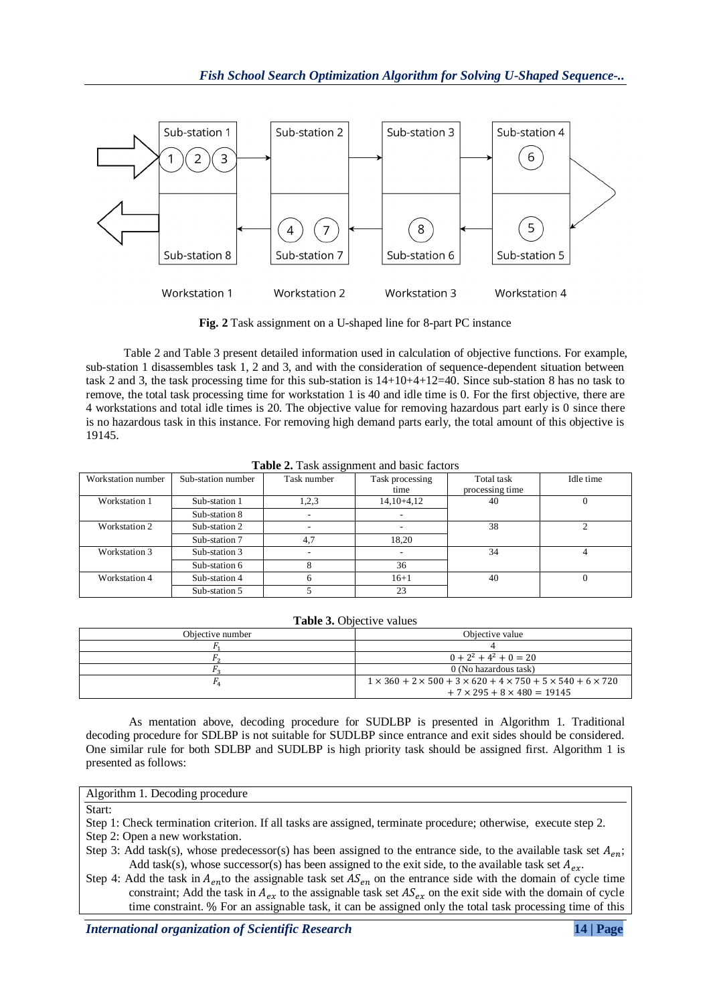

**Fig. 2** Task assignment on a U-shaped line for 8-part PC instance

Table 2 and Table 3 present detailed information used in calculation of objective functions. For example, sub-station 1 disassembles task 1, 2 and 3, and with the consideration of sequence-dependent situation between task 2 and 3, the task processing time for this sub-station is 14+10+4+12=40. Since sub-station 8 has no task to remove, the total task processing time for workstation 1 is 40 and idle time is 0. For the first objective, there are 4 workstations and total idle times is 20. The objective value for removing hazardous part early is 0 since there is no hazardous task in this instance. For removing high demand parts early, the total amount of this objective is 19145.

| Workstation number | Sub-station number | Task number | Task processing | Total task      | Idle time |
|--------------------|--------------------|-------------|-----------------|-----------------|-----------|
|                    |                    |             | time            | processing time |           |
| Workstation 1      | Sub-station 1      | 1,2,3       | $14,10+4,12$    | 40              |           |
|                    | Sub-station 8      |             |                 |                 |           |
| Workstation 2      | Sub-station 2      |             |                 | 38              |           |
|                    | Sub-station 7      | 4.7         | 18.20           |                 |           |
| Workstation 3      | Sub-station 3      |             |                 | 34              |           |
|                    | Sub-station 6      |             | 36              |                 |           |
| Workstation 4      | Sub-station 4      |             | $16 + 1$        | 40              |           |
|                    | Sub-station 5      |             | 23              |                 |           |

**Table 2.** Task assignment and basic factors

|  | Table 3. Objective values |
|--|---------------------------|
|--|---------------------------|

| Objective number | Objective value                                                                           |  |  |  |  |
|------------------|-------------------------------------------------------------------------------------------|--|--|--|--|
|                  |                                                                                           |  |  |  |  |
|                  | $0+2^2+4^2+0=20$                                                                          |  |  |  |  |
|                  | 0 (No hazardous task)                                                                     |  |  |  |  |
|                  | $1 \times 360 + 2 \times 500 + 3 \times 620 + 4 \times 750 + 5 \times 540 + 6 \times 720$ |  |  |  |  |
|                  | $+7 \times 295 + 8 \times 480 = 19145$                                                    |  |  |  |  |

As mentation above, decoding procedure for SUDLBP is presented in Algorithm 1. Traditional decoding procedure for SDLBP is not suitable for SUDLBP since entrance and exit sides should be considered. One similar rule for both SDLBP and SUDLBP is high priority task should be assigned first. Algorithm 1 is presented as follows:

## Algorithm 1. Decoding procedure

Start:

- Step 1: Check termination criterion. If all tasks are assigned, terminate procedure; otherwise, execute step 2. Step 2: Open a new workstation.
- Step 3: Add task(s), whose predecessor(s) has been assigned to the entrance side, to the available task set  $A_{en}$ ; Add task(s), whose successor(s) has been assigned to the exit side, to the available task set  $A_{ex}$ .
- Step 4: Add the task in  $A_{en}$ to the assignable task set  $AS_{en}$  on the entrance side with the domain of cycle time constraint; Add the task in  $A_{ex}$  to the assignable task set  $AS_{ex}$  on the exit side with the domain of cycle time constraint. % For an assignable task, it can be assigned only the total task processing time of this

*International organization of Scientific Research* **14 | Page**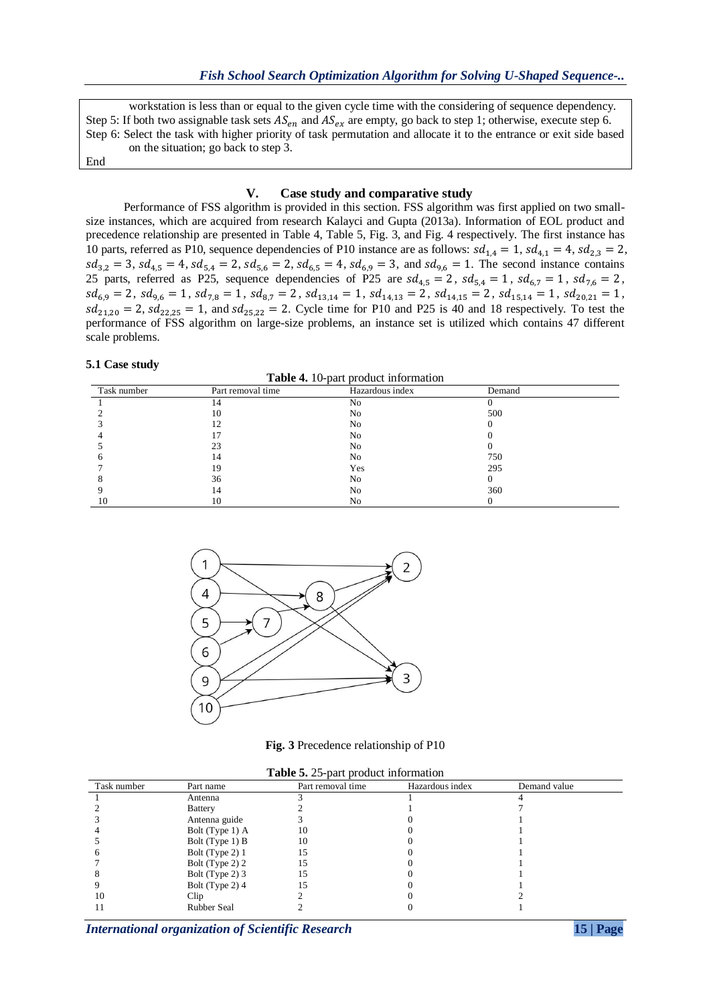workstation is less than or equal to the given cycle time with the considering of sequence dependency. Step 5: If both two assignable task sets  $AS_{en}$  and  $AS_{ex}$  are empty, go back to step 1; otherwise, execute step 6. Step 6: Select the task with higher priority of task permutation and allocate it to the entrance or exit side based on the situation; go back to step 3. End

#### **V. Case study and comparative study**

Performance of FSS algorithm is provided in this section. FSS algorithm was first applied on two smallsize instances, which are acquired from research Kalayci and Gupta (2013a). Information of EOL product and precedence relationship are presented in Table 4, Table 5, Fig. 3, and Fig. 4 respectively. The first instance has 10 parts, referred as P10, sequence dependencies of P10 instance are as follows:  $sd_{1,4} = 1$ ,  $sd_{4,1} = 4$ ,  $sd_{2,3} = 2$ ,  $sd_{3,2} = 3$ ,  $sd_{4,5} = 4$ ,  $sd_{5,4} = 2$ ,  $sd_{5,6} = 2$ ,  $sd_{6,5} = 4$ ,  $sd_{6,9} = 3$ , and  $sd_{9,6} = 1$ . The second instance contains 25 parts, referred as P25, sequence dependencies of P25 are  $sd_{4.5} = 2$ ,  $sd_{5.4} = 1$ ,  $sd_{6.7} = 1$ ,  $sd_{7.6} = 2$ ,  $sd_{6,9} = 2$ ,  $sd_{9,6} = 1$ ,  $sd_{7,8} = 1$ ,  $sd_{8,7} = 2$ ,  $sd_{13,14} = 1$ ,  $sd_{14,13} = 2$ ,  $sd_{14,15} = 2$ ,  $sd_{15,14} = 1$ ,  $sd_{20,21} = 1$ ,  $sd_{21,20} = 2$ ,  $sd_{22,25} = 1$ , and  $sd_{25,22} = 2$ . Cycle time for P10 and P25 is 40 and 18 respectively. To test the performance of FSS algorithm on large-size problems, an instance set is utilized which contains 47 different scale problems.

#### **5.1 Case study**

**Table 4.** 10-part product information

| Task number | Part removal time | Hazardous index | Demand |  |
|-------------|-------------------|-----------------|--------|--|
|             |                   | N <sub>0</sub>  |        |  |
|             | 10                | No              | 500    |  |
|             |                   | No.             |        |  |
|             |                   | No              |        |  |
|             |                   | N <sub>0</sub>  |        |  |
|             | 14                | No              | 750    |  |
|             | 19                | Yes             | 295    |  |
|             | 36                | No              |        |  |
|             | 14                | No              | 360    |  |
|             | 10                | No              |        |  |



**Fig. 3** Precedence relationship of P10

| Task number | Part name          | Part removal time | Hazardous index | Demand value |
|-------------|--------------------|-------------------|-----------------|--------------|
|             | Antenna            |                   |                 |              |
|             | <b>Battery</b>     |                   |                 |              |
|             | Antenna guide      |                   |                 |              |
|             | Bolt (Type 1) A    | 10                |                 |              |
|             | Bolt (Type 1) B    | 10                |                 |              |
|             | Bolt (Type 2) 1    | l 5               |                 |              |
|             | Bolt (Type 2) 2    |                   |                 |              |
|             | Bolt (Type 2) 3    | 15                |                 |              |
|             | Bolt (Type 2) 4    |                   |                 |              |
| 10          | $_{\rm Clip}$      |                   |                 |              |
|             | <b>Rubber Seal</b> |                   |                 |              |

*International organization of Scientific Research* **15 | Page**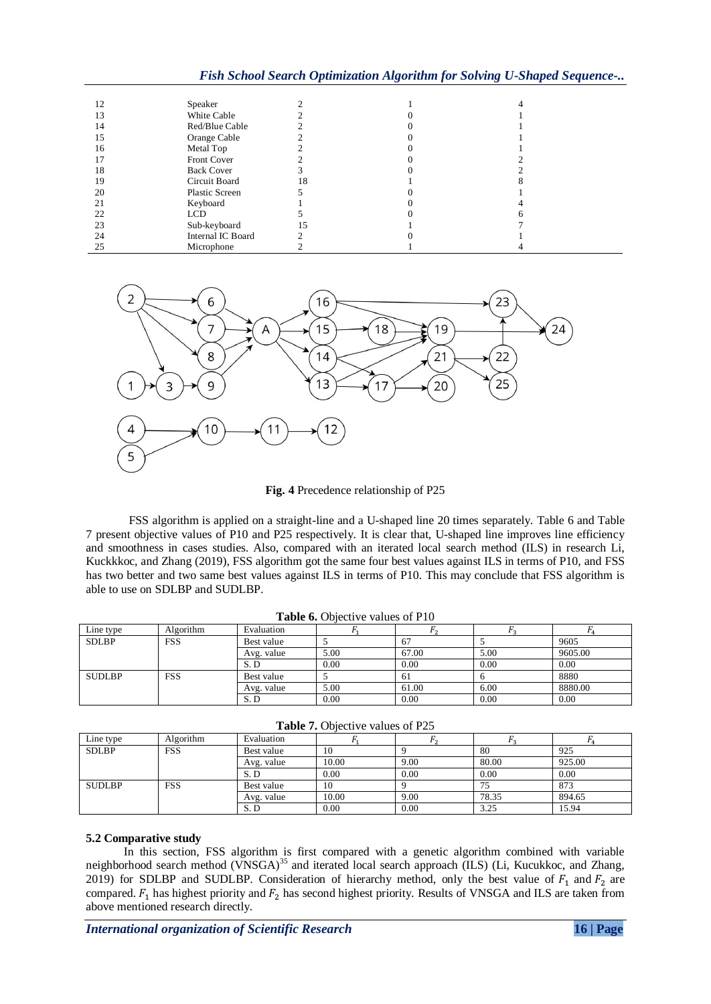*Fish School Search Optimization Algorithm for Solving U-Shaped Sequence-..*

| 12 | Speaker               |    |  |
|----|-----------------------|----|--|
| 13 | White Cable           |    |  |
| 14 | Red/Blue Cable        |    |  |
| 15 | Orange Cable          |    |  |
| 16 | Metal Top             |    |  |
| 17 | Front Cover           |    |  |
| 18 | <b>Back Cover</b>     |    |  |
| 19 | Circuit Board         | 18 |  |
| 20 | <b>Plastic Screen</b> |    |  |
| 21 | Keyboard              |    |  |
| 22 | <b>LCD</b>            |    |  |
| 23 | Sub-keyboard          | 15 |  |
| 24 | Internal IC Board     |    |  |
| 25 | Microphone            |    |  |



**Fig. 4** Precedence relationship of P25

FSS algorithm is applied on a straight-line and a U-shaped line 20 times separately. Table 6 and Table 7 present objective values of P10 and P25 respectively. It is clear that, U-shaped line improves line efficiency and smoothness in cases studies. Also, compared with an iterated local search method (ILS) in research Li, Kuckkkoc, and Zhang (2019), FSS algorithm got the same four best values against ILS in terms of P10, and FSS has two better and two same best values against ILS in terms of P10. This may conclude that FSS algorithm is able to use on SDLBP and SUDLBP.

| <b>Table 6.</b> Objective values of P10 |            |            |      |                |      |         |
|-----------------------------------------|------------|------------|------|----------------|------|---------|
| Line type                               | Algorithm  | Evaluation |      | r <sub>2</sub> |      |         |
| <b>SDLBP</b>                            | <b>FSS</b> | Best value |      | 67             |      | 9605    |
|                                         |            | Avg. value | 5.00 | 67.00          | 5.00 | 9605.00 |
|                                         |            | S. D       | 0.00 | 0.00           | 0.00 | 0.00    |
| <b>SUDLBP</b>                           | <b>FSS</b> | Best value |      | -61            |      | 8880    |
|                                         |            | Avg. value | 5.00 | 61.00          | 6.00 | 8880.00 |
|                                         |            | S.D        | 0.00 | 0.00           | 0.00 | 0.00    |

|                                         |            | S.D        | 0.00  | 0.00 | 0.00  | 0.00   |
|-----------------------------------------|------------|------------|-------|------|-------|--------|
| <b>Table 7.</b> Objective values of P25 |            |            |       |      |       |        |
| Line type                               | Algorithm  | Evaluation |       |      |       |        |
| <b>SDLBP</b>                            | <b>FSS</b> | Best value | 10    |      | 80    | 925    |
|                                         |            | Avg. value | 10.00 | 9.00 | 80.00 | 925.00 |
|                                         |            | S.D        | 0.00  | 0.00 | 0.00  | 0.00   |
| <b>SUDLBP</b>                           | <b>FSS</b> | Best value | 10    |      | 75    | 873    |
|                                         |            | Avg. value | 10.00 | 9.00 | 78.35 | 894.65 |

S. D 0.00 0.00 3.25 15.94

## **5.2 Comparative study**

In this section, FSS algorithm is first compared with a genetic algorithm combined with variable neighborhood search method (VNSGA)<sup>35</sup> and iterated local search approach (ILS) (Li, Kucukkoc, and Zhang, 2019) for SDLBP and SUDLBP. Consideration of hierarchy method, only the best value of  $F_1$  and  $F_2$  are compared.  $F_1$  has highest priority and  $F_2$  has second highest priority. Results of VNSGA and ILS are taken from above mentioned research directly.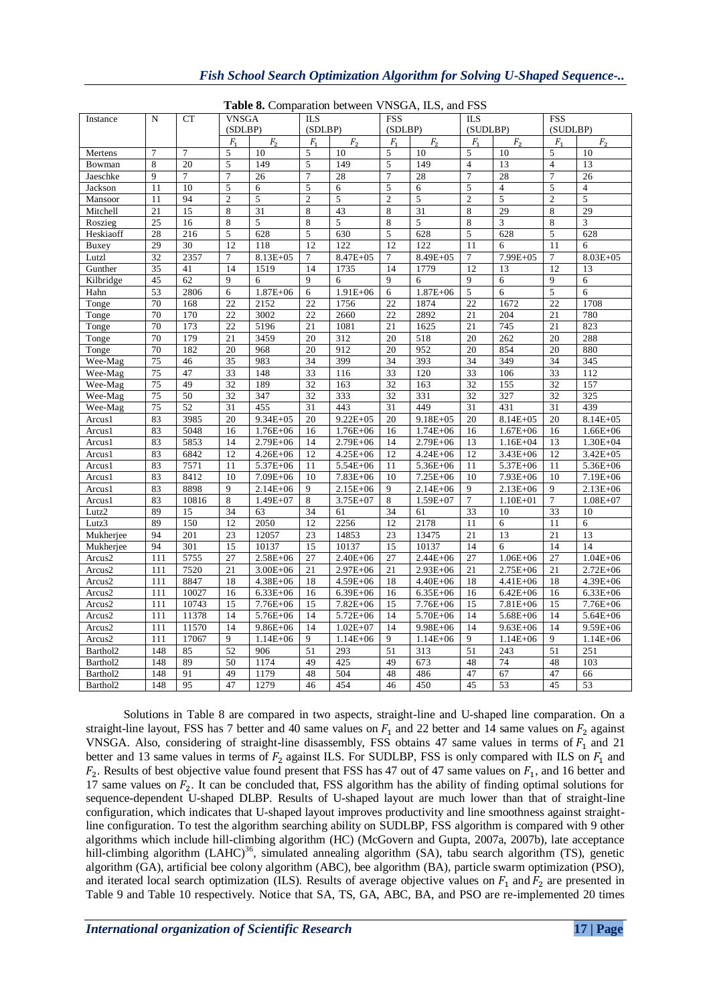| <b>Table 8.</b> Comparation between VNSGA, ILS, and FSS |                |                 |                |                            |                |                |                |              |                |                |                |                |
|---------------------------------------------------------|----------------|-----------------|----------------|----------------------------|----------------|----------------|----------------|--------------|----------------|----------------|----------------|----------------|
| Instance                                                | $\mathbf N$    | <b>CT</b>       |                | <b>VNSGA</b><br><b>ILS</b> |                |                | <b>FSS</b>     |              | <b>ILS</b>     |                | <b>FSS</b>     |                |
|                                                         |                |                 | (SDLBP)        |                            | (SDLBP)        |                | (SDLBP)        |              | (SUDLBP)       |                | (SUDLBP)       |                |
|                                                         |                |                 | $F_{1}$        | F <sub>2</sub>             | F <sub>1</sub> | F <sub>2</sub> | $F_{1}$        | ${\cal F}_2$ | F <sub>1</sub> | F <sub>2</sub> | $F_{1}$        | F <sub>2</sub> |
| Mertens                                                 | $\overline{7}$ | $\overline{7}$  | 5              | 10                         | 5              | 10             | 5              | 10           | 5              | 10             | 5              | 10             |
| Bowman                                                  | 8              | 20              | 5              | 149                        | 5              | 149            | 5              | 149          | $\overline{4}$ | 13             | $\overline{4}$ | 13             |
| Jaeschke                                                | 9              | $7\phantom{.0}$ | $\overline{7}$ | 26                         | $\overline{7}$ | 28             | $\overline{7}$ | 28           | $\overline{7}$ | 28             | $\overline{7}$ | 26             |
| Jackson                                                 | 11             | 10              | 5              | 6                          | 5              | 6              | $\sqrt{5}$     | 6            | 5              | $\overline{4}$ | $\sqrt{5}$     | $\overline{4}$ |
| Mansoor                                                 | 11             | 94              | $\overline{c}$ | 5                          | $\overline{c}$ | 5              | $\overline{2}$ | $5\,$        | $\overline{2}$ | 5              | $\mathbf{2}$   | 5              |
| Mitchell                                                | 21             | 15              | 8              | 31                         | 8              | 43             | 8              | 31           | 8              | 29             | 8              | 29             |
| Roszieg                                                 | 25             | 16              | $\,$ 8 $\,$    | 5                          | 8              | $\overline{5}$ | $\,$ 8 $\,$    | 5            | $\,$ 8 $\,$    | 3              | $\,8\,$        | 3              |
| Heskiaoff                                               | 28             | 216             | 5              | 628                        | 5              | 630            | 5              | 628          | 5              | 628            | 5              | 628            |
| Buxey                                                   | 29             | 30              | 12             | 118                        | 12             | 122            | 12             | 122          | 11             | 6              | 11             | 6              |
| Lutzl                                                   | 32             | 2357            | 7              | $8.13E + 05$               | 7              | 8.47E+05       | $\overline{7}$ | 8.49E+05     | $\overline{7}$ | 7.99E+05       | $\overline{7}$ | $8.03E + 05$   |
| Gunther                                                 | 35             | 41              | 14             | 1519                       | 14             | 1735           | 14             | 1779         | 12             | 13             | 12             | 13             |
| Kilbridge                                               | 45             | 62              | 9              | 6                          | 9              | 6              | 9              | 6            | 9              | 6              | 9              | 6              |
| Hahn                                                    | 53             | 2806            | 6              | $1.87E + 06$               | 6              | $1.91E + 06$   | 6              | $1.87E + 06$ | 5              | 6              | 5              | 6              |
| Tonge                                                   | 70             | 168             | 22             | 2152                       | 22             | 1756           | 22             | 1874         | 22             | 1672           | 22             | 1708           |
| Tonge                                                   | 70             | 170             | 22             | 3002                       | 22             | 2660           | 22             | 2892         | 21             | 204            | 21             | 780            |
| Tonge                                                   | 70             | 173             | 22             | 5196                       | 21             | 1081           | 21             | 1625         | 21             | 745            | 21             | 823            |
| Tonge                                                   | 70             | 179             | 21             | 3459                       | 20             | 312            | 20             | 518          | 20             | 262            | 20             | 288            |
| Tonge                                                   | 70             | 182             | 20             | 968                        | 20             | 912            | 20             | 952          | 20             | 854            | 20             | 880            |
| Wee-Mag                                                 | 75             | 46              | 35             | 983                        | 34             | 399            | 34             | 393          | 34             | 349            | 34             | 345            |
| Wee-Mag                                                 | 75             | 47              | 33             | 148                        | 33             | 116            | 33             | 120          | 33             | 106            | 33             | 112            |
| Wee-Mag                                                 | 75             | 49              | 32             | 189                        | 32             | 163            | 32             | 163          | 32             | 155            | 32             | 157            |
| Wee-Mag                                                 | 75             | 50              | 32             | 347                        | 32             | 333            | 32             | 331          | 32             | 327            | 32             | 325            |
| Wee-Mag                                                 | 75             | 52              | 31             | 455                        | 31             | 443            | 31             | 449          | 31             | 431            | 31             | 439            |
| Arcus1                                                  | 83             | 3985            | 20             | $9.34E + 05$               | 20             | $9.22E + 05$   | 20             | $9.18E + 05$ | 20             | $8.14E + 05$   | 20             | $8.14E + 05$   |
| Arcus1                                                  | 83             | 5048            | 16             | $1.76E + 06$               | 16             | $1.76E + 06$   | 16             | $1.74E + 06$ | 16             | $1.67E + 06$   | 16             | $1.66E + 06$   |
| Arcus1                                                  | 83             | 5853            | 14             | $2.79E + 06$               | 14             | $2.79E + 06$   | 14             | 2.79E+06     | 13             | $1.16E + 04$   | 13             | $1.30E + 04$   |
| Arcus1                                                  | 83             | 6842            | 12             | $4.26E + 06$               | 12             | $4.25E + 06$   | 12             | $4.24E + 06$ | 12             | 3.43E+06       | 12             | $3.42E + 05$   |
| Arcus1                                                  | 83             | 7571            | 11             | 5.37E+06                   | 11             | 5.54E+06       | 11             | 5.36E+06     | 11             | 5.37E+06       | 11             | 5.36E+06       |
| Arcus1                                                  | 83             | 8412            | 10             | 7.09E+06                   | 10             | $7.83E + 06$   | 10             | 7.25E+06     | 10             | $7.93E + 06$   | 10             | 7.19E+06       |
| Arcus1                                                  | 83             | 8898            | 9              | $2.14E + 06$               | 9              | 2.15E+06       | 9              | $2.14E + 06$ | 9              | $2.13E + 06$   | 9              | $2.13E + 06$   |
| Arcus1                                                  | 83             | 10816           | 8              | $1.49E + 07$               | 8              | 3.75E+07       | 8              | $1.59E+07$   | $\overline{7}$ | $1.10E + 01$   | $\tau$         | $1.08E + 07$   |
| Lutz2                                                   | 89             | 15              | 34             | 63                         | 34             | 61             | 34             | 61           | 33             | 10             | 33             | 10             |
| Lutz3                                                   | 89             | 150             | 12             | 2050                       | 12             | 2256           | 12             | 2178         | 11             | 6              | 11             | 6              |
| Mukherjee                                               | 94             | 201             | 23             | 12057                      | 23             | 14853          | 23             | 13475        | 21             | 13             | 21             | 13             |
| Mukherjee                                               | 94             | 301             | 15             | 10137                      | 15             | 10137          | 15             | 10137        | 14             | 6              | 14             | 14             |
| Arcus2                                                  | 111            | 5755            | 27             | $2.58E + 06$               | 27             | $2.40E + 06$   | 27             | $2.44E + 06$ | 27             | $1.06E + 06$   | 27             | $1.04E + 06$   |
| Arcus2                                                  | 111            | 7520            | 21             | $3.00E + 06$               | 21             | $2.97E + 06$   | 21             | $2.93E + 06$ | 21             | $2.75E + 06$   | 21             | $2.72E + 06$   |
| Arcus2                                                  | 111            | 8847            | 18             | 4.38E+06                   | 18             | 4.59E+06       | 18             | 4.40E+06     | 18             | 4.41E+06       | 18             | 4.39E+06       |
| Arcus2                                                  | 111            | 10027           | 16             | $6.33E + 06$               | 16             | $6.39E + 06$   | 16             | $6.35E + 06$ | 16             | $6.42E + 06$   | 16             | $6.33E + 06$   |
| Arcus2                                                  | 111            | 10743           | 15             | 7.76E+06                   | 15             | $7.82E + 06$   | 15             | $7.76E + 06$ | 15             | $7.81E + 06$   | 15             | $7.76E + 06$   |
| Arcus2                                                  | 111            | 11378           | 14             | 5.76E+06                   | 14             | 5.72E+06       | 14             | 5.70E+06     | 14             | $5.68E + 06$   | 14             | $5.64E + 06$   |
| Arcus2                                                  | 111            | 11570           | 14             | $9.86E + 06$               | 14             | $1.02E + 07$   | 14             | $9.98E + 06$ | 14             | $9.63E + 06$   | 14             | $9.59E + 06$   |
| Arcus2                                                  | 111            | 17067           | 9              | $1.14E + 06$               | 9              | $1.14E + 06$   | 9              | $1.14E + 06$ | 9              | $1.14E + 06$   | 9              | $1.14E + 06$   |
| Barthol2                                                | 148            | 85              | 52             | 906                        | 51             | 293            | 51             | 313          | 51             | 243            | 51             | 251            |
| Barthol2                                                | 148            | 89              | 50             | 1174                       | 49             | 425            | 49             | 673          | 48             | 74             | 48             | 103            |
| Barthol2                                                | 148            | 91              | 49             | 1179                       | 48             | 504            | 48             | 486          | 47             | 67             | 47             | 66             |
| Barthol2                                                | 148            | 95              | 47             | 1279                       | 46             | 454            | 46             | 450          | 45             | 53             | 45             | 53             |

**Table 8.** Comparation between VNSGA, ILS, and FSS

Solutions in Table 8 are compared in two aspects, straight-line and U-shaped line comparation. On a straight-line layout, FSS has 7 better and 40 same values on  $F_1$  and 22 better and 14 same values on  $F_2$  against VNSGA. Also, considering of straight-line disassembly, FSS obtains 47 same values in terms of  $F_1$  and 21 better and 13 same values in terms of  $F_2$  against ILS. For SUDLBP, FSS is only compared with ILS on  $F_1$  and  $F_2$ . Results of best objective value found present that FSS has 47 out of 47 same values on  $F_1$ , and 16 better and 17 same values on  $F_2$ . It can be concluded that, FSS algorithm has the ability of finding optimal solutions for sequence-dependent U-shaped DLBP. Results of U-shaped layout are much lower than that of straight-line configuration, which indicates that U-shaped layout improves productivity and line smoothness against straightline configuration. To test the algorithm searching ability on SUDLBP, FSS algorithm is compared with 9 other algorithms which include hill-climbing algorithm (HC) (McGovern and Gupta, 2007a, 2007b), late acceptance hill-climbing algorithm (LAHC)<sup>36</sup>, simulated annealing algorithm (SA), tabu search algorithm (TS), genetic algorithm (GA), artificial bee colony algorithm (ABC), bee algorithm (BA), particle swarm optimization (PSO), and iterated local search optimization (ILS). Results of average objective values on  $F_1$  and  $F_2$  are presented in Table 9 and Table 10 respectively. Notice that SA, TS, GA, ABC, BA, and PSO are re-implemented 20 times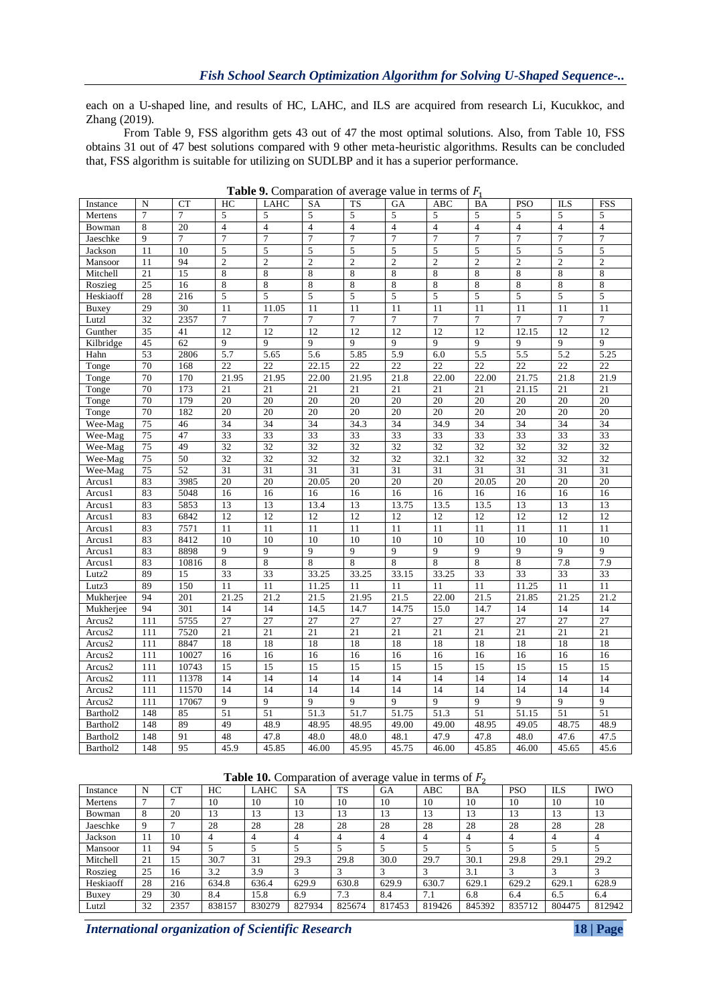each on a U-shaped line, and results of HC, LAHC, and ILS are acquired from research Li, Kucukkoc, and Zhang (2019).

From Table 9, FSS algorithm gets 43 out of 47 the most optimal solutions. Also, from Table 10, FSS obtains 31 out of 47 best solutions compared with 9 other meta-heuristic algorithms. Results can be concluded that, FSS algorithm is suitable for utilizing on SUDLBP and it has a superior performance.

| Instance  | N               | <b>CT</b>       | HC              | <b>LAHC</b>     | SA                | TS              | GA                | ABC             | BA              | <b>PSO</b>      | <b>ILS</b>      | FSS               |
|-----------|-----------------|-----------------|-----------------|-----------------|-------------------|-----------------|-------------------|-----------------|-----------------|-----------------|-----------------|-------------------|
| Mertens   | $\overline{7}$  | 7               | 5               | 5               | 5                 | 5               | 5                 | 5               | 5               | 5               | 5               | 5                 |
| Bowman    | 8               | 20              | $\overline{4}$  | $\overline{4}$  | $\overline{4}$    | $\overline{4}$  | $\overline{4}$    | $\overline{4}$  | $\overline{4}$  | $\overline{4}$  | $\overline{4}$  | $\overline{4}$    |
| Jaeschke  | 9               | $\overline{7}$  | $\overline{7}$  | $\overline{7}$  | $\overline{7}$    | 7               | $\overline{7}$    | $\overline{7}$  | $\overline{7}$  | $\overline{7}$  | $\overline{7}$  | $\overline{7}$    |
| Jackson   | 11              | 10              | 5               | 5               | 5                 | 5               | 5                 | 5               | 5               | 5               | 5               | 5                 |
| Mansoor   | 11              | 94              | $\overline{2}$  | $\overline{c}$  | $\overline{c}$    | $\overline{c}$  | $\overline{2}$    | $\sqrt{2}$      | $\overline{c}$  | $\overline{c}$  | $\overline{2}$  | $\overline{c}$    |
| Mitchell  | 21              | 15              | 8               | 8               | 8                 | 8               | 8                 | 8               | 8               | 8               | 8               | 8                 |
| Roszieg   | 25              | 16              | 8               | 8               | 8                 | 8               | 8                 | 8               | 8               | 8               | 8               | 8                 |
| Heskiaoff | 28              | 216             | 5               | 5               | 5                 | 5               | 5                 | 5               | 5               | 5               | 5               | 5                 |
| Buxey     | 29              | 30              | 11              | 11.05           | 11                | 11              | 11                | 11              | 11              | 11              | 11              | 11                |
| Lutzl     | 32              | 2357            | $\tau$          | 7               | $\overline{7}$    | 7               | $\tau$            | $\tau$          | $\tau$          | $\overline{7}$  | 7               | 7                 |
| Gunther   | 35              | 41              | 12              | 12              | 12                | 12              | 12                | 12              | 12              | 12.15           | 12              | 12                |
| Kilbridge | 45              | 62              | $\overline{Q}$  | 9               | 9                 | 9               | 9                 | 9               | 9               | 9               | 9               | 9                 |
| Hahn      | 53              | 2806            | 5.7             | 5.65            | 5.6               | 5.85            | 5.9               | 6.0             | 5.5             | 5.5             | 5.2             | 5.25              |
| Tonge     | 70              | 168             | 22              | 22              | 22.15             | $\overline{22}$ | $\overline{22}$   | $\overline{22}$ | $\overline{22}$ | $\overline{22}$ | $\overline{22}$ | $\overline{22}$   |
| Tonge     | 70              | 170             | 21.95           | 21.95           | 22.00             | 21.95           | 21.8              | 22.00           | 22.00           | 21.75           | 21.8            | 21.9              |
| Tonge     | 70              | 173             | 21              | 21              | 21                | 21              | 21                | 21              | 21              | 21.15           | 21              | 21                |
| Tonge     | 70              | 179             | 20              | 20              | 20                | 20              | 20                | 20              | 20              | 20              | 20              | 20                |
| Tonge     | 70              | 182             | 20              | 20              | 20                | 20              | 20                | 20              | 20              | 20              | 20              | 20                |
| Wee-Mag   | 75              | 46              | 34              | 34              | 34                | 34.3            | 34                | 34.9            | 34              | 34              | 34              | 34                |
| Wee-Mag   | 75              | 47              | $\overline{33}$ | 33              | 33                | 33              | $\overline{33}$   | 33              | 33              | 33              | 33              | $\overline{33}$   |
| Wee-Mag   | 75              | 49              | $\overline{32}$ | 32              | 32                | $\overline{32}$ | 32                | $\overline{32}$ | $\overline{32}$ | 32              | 32              | $\overline{32}$   |
| Wee-Mag   | 75              | 50              | $\overline{32}$ | $\overline{32}$ | $\overline{32}$   | $\overline{32}$ | $\overline{32}$   | 32.1            | $\overline{32}$ | $\overline{32}$ | $\overline{32}$ | $\overline{32}$   |
| Wee-Mag   | $\overline{75}$ | $\overline{52}$ | $\overline{31}$ | $\overline{31}$ | $\overline{31}$   | 31              | $\overline{31}$   | $\overline{31}$ | $\overline{31}$ | 31              | $\overline{31}$ | $\overline{31}$   |
| Arcus1    | 83              | 3985            | 20              | 20              | 20.05             | 20              | 20                | 20              | 20.05           | 20              | 20              | 20                |
| Arcus1    | 83              | 5048            | 16              | 16              | 16                | 16              | 16                | 16              | 16              | 16              | 16              | 16                |
| Arcus1    | 83              | 5853            | 13              | 13              | 13.4              | 13              | 13.75             | 13.5            | 13.5            | 13              | 13              | 13                |
| Arcus1    | 83              | 6842            | 12              | 12              | 12                | 12              | 12                | 12              | 12              | 12              | 12              | 12                |
| Arcus1    | 83              | 7571            | 11              | 11              | 11                | 11              | 11                | 11              | 11              | 11              | 11              | 11                |
| Arcus1    | 83              | 8412            | 10              | 10              | 10                | 10              | 10                | 10              | 10              | 10              | 10              | 10                |
| Arcus1    | 83              | 8898            | 9               | 9               | 9                 | 9               | 9                 | 9               | 9               | 9               | 9               | 9                 |
| Arcus1    | 83              | 10816           | 8               | 8               | 8                 | 8               | 8                 | 8               | 8               | 8               | 7.8             | 7.9               |
| Lutz2     | 89              | 15              | 33              | 33              | 33.25             | 33.25           | 33.15             | 33.25           | 33              | 33              | 33              | 33                |
| Lutz3     | 89              | 150             | 11              | 11              | 11.25             | 11              | 11                | 11              | 11              | 11.25           | 11              | 11                |
| Mukherjee | 94              | 201             | 21.25           | 21.2            | 21.5              | 21.95           | 21.5              | 22.00           | 21.5            | 21.85           | 21.25           | $\overline{21.2}$ |
| Mukherjee | 94              | 301             | 14              | 14              | 14.5              | 14.7            | 14.75             | 15.0            | 14.7            | 14              | 14              | 14                |
| Arcus2    | 111             | 5755            | 27              | 27              | 27                | 27              | 27                | 27              | 27              | $\overline{27}$ | 27              | 27                |
| Arcus2    | 111             | 7520            | 21              | 21              | 21                | 21              | 21                | 21              | 21              | 21              | 21              | 21                |
| Arcus2    | 111             | 8847            | 18              | 18              | 18                | 18              | 18                | 18              | 18              | 18              | 18              | 18                |
| Arcus2    | 111             | 10027           | 16              | 16              | 16                | 16              | 16                | 16              | 16              | 16              | 16              | 16                |
| Arcus2    | 111             | 10743           | 15              | 15              | 15                | 15              | 15                | 15              | 15              | 15              | 15              | 15                |
| Arcus2    | 111             | 11378           | 14              | 14              | 14                | 14              | 14                | 14              | 14              | 14              | 14              | 14                |
| Arcus2    | 111             | 11570           | 14              | 14              | 14                | 14              | 14                | 14              | 14              | 14              | 14              | 14                |
| Arcus2    | 111             | 17067           | $\mathbf Q$     | 9               | $\overline{q}$    | $\overline{q}$  | $\overline{9}$    | $\overline{q}$  | $\mathbf Q$     | $\overline{q}$  | 9               | $\overline{9}$    |
| Barthol2  | 148             | 85              | 51              | 51              | $\overline{51.3}$ | 51.7            | $\frac{1}{51.75}$ | 51.3            | $\overline{51}$ | 51.15           | $\overline{51}$ | $\overline{51}$   |
| Barthol2  | 148             | 89              | 49              | 48.9            | 48.95             | 48.95           | 49.00             | 49.00           | 48.95           | 49.05           | 48.75           | 48.9              |
| Barthol2  | 148             | 91              | 48              | 47.8            | 48.0              | 48.0            | 48.1              | 47.9            | 47.8            | 48.0            | 47.6            | 47.5              |
| Barthol2  | 148             | 95              | 45.9            | 45.85           | 46.00             | 45.95           | 45.75             | 46.00           | 45.85           | 46.00           | 45.65           | 45.6              |

**Table 9.** Comparation of average value in terms of  $F_1$ 

**Table 10.** Comparation of average value in terms of  $F_2$ 

|           |    |      |        |        | $\overline{\phantom{a}}$ |           | $\tilde{}$ |            |        |               |            |            |
|-----------|----|------|--------|--------|--------------------------|-----------|------------|------------|--------|---------------|------------|------------|
| Instance  | N  | CТ   | HC     | LAHC   | <b>SA</b>                | <b>TS</b> | <b>GA</b>  | <b>ABC</b> | BA     | <b>PSO</b>    | <b>ILS</b> | <b>IWO</b> |
| Mertens   |    |      | 10     | 10     | 10                       | 10        | 10         | 10         | 10     | 10            | 10         | 10         |
| Bowman    | 8  | 20   | 13     | 13     | 13                       | 13        | 13         | 13         | 13     | 13            | 13         | 13         |
| Jaeschke  | Q  |      | 28     | 28     | 28                       | 28        | 28         | 28         | 28     | 28            | 28         | 28         |
| Jackson   | 11 | 10   |        |        |                          |           |            |            | 4      | 4             | 4          |            |
| Mansoor   | 11 | 94   |        |        |                          |           |            |            |        |               |            |            |
| Mitchell  | 21 | 15   | 30.7   | 31     | 29.3                     | 29.8      | 30.0       | 29.7       | 30.1   | 29.8          | 29.1       | 29.2       |
| Roszieg   | 25 | 16   | 3.2    | 3.9    |                          |           |            |            | 3.1    | $\mathcal{L}$ | $\sim$     |            |
| Heskiaoff | 28 | 216  | 634.8  | 636.4  | 629.9                    | 630.8     | 629.9      | 630.7      | 629.1  | 629.2         | 629.1      | 628.9      |
| Buxey     | 29 | 30   | 8.4    | 15.8   | 6.9                      | 7.3       | 8.4        | 7.1        | 6.8    | 6.4           | 6.5        | 6.4        |
| Lutzl     | 32 | 2357 | 838157 | 830279 | 827934                   | 825674    | 817453     | 819426     | 845392 | 835712        | 804475     | 812942     |

*International organization of Scientific Research* **18 | Page**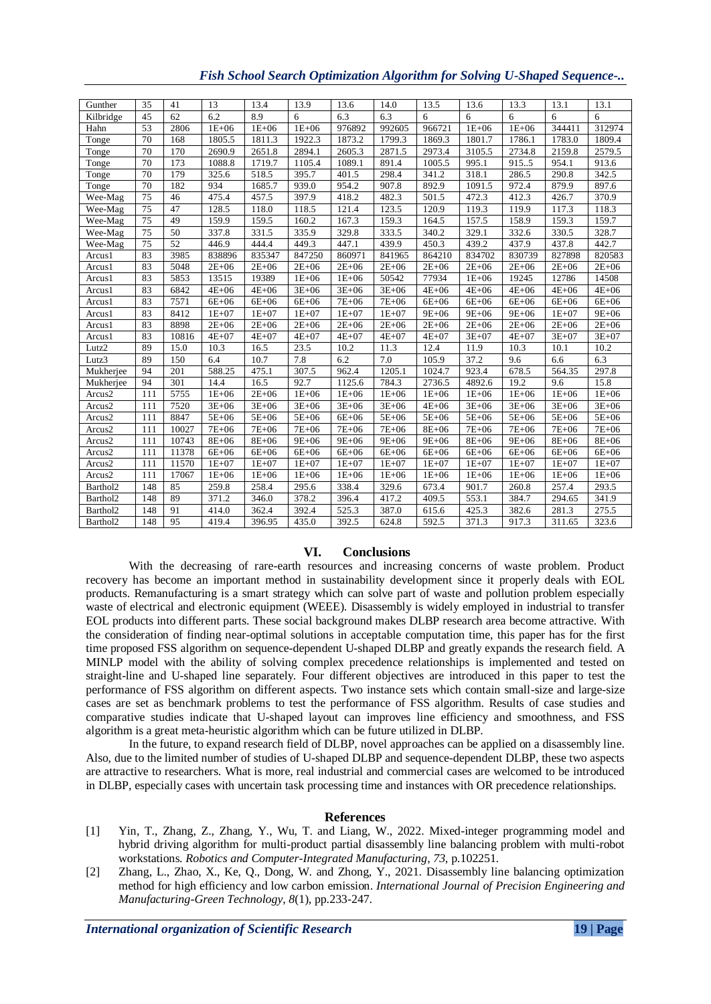| Gunther   | 35  | 41               | 13        | 13.4      | 13.9      | 13.6      | 14.0      | 13.5      | 13.6      | 13.3      | 13.1      | 13.1      |
|-----------|-----|------------------|-----------|-----------|-----------|-----------|-----------|-----------|-----------|-----------|-----------|-----------|
| Kilbridge | 45  | 62               | 6.2       | 8.9       | 6         | 6.3       | 6.3       | 6         | 6         | 6         | 6         | 6         |
| Hahn      | 53  | 2806             | $1E + 06$ | $1E+06$   | $1E+06$   | 976892    | 992605    | 966721    | $1E+06$   | $1E+06$   | 344411    | 312974    |
| Tonge     | 70  | $16\overline{8}$ | 1805.5    | 1811.3    | 1922.3    | 1873.2    | 1799.3    | 1869.3    | 1801.7    | 1786.1    | 1783.0    | 1809.4    |
| Tonge     | 70  | 170              | 2690.9    | 2651.8    | 2894.1    | 2605.3    | 2871.5    | 2973.4    | 3105.5    | 2734.8    | 2159.8    | 2579.5    |
| Tonge     | 70  | 173              | 1088.8    | 1719.7    | 1105.4    | 1089.1    | 891.4     | 1005.5    | 995.1     | 915.5     | 954.1     | 913.6     |
| Tonge     | 70  | 179              | 325.6     | 518.5     | 395.7     | 401.5     | 298.4     | 341.2     | 318.1     | 286.5     | 290.8     | 342.5     |
| Tonge     | 70  | 182              | 934       | 1685.7    | 939.0     | 954.2     | 907.8     | 892.9     | 1091.5    | 972.4     | 879.9     | 897.6     |
| Wee-Mag   | 75  | 46               | 475.4     | 457.5     | 397.9     | 418.2     | 482.3     | 501.5     | 472.3     | 412.3     | 426.7     | 370.9     |
| Wee-Mag   | 75  | 47               | 128.5     | 118.0     | 118.5     | 121.4     | 123.5     | 120.9     | 119.3     | 119.9     | 117.3     | 118.3     |
| Wee-Mag   | 75  | 49               | 159.9     | 159.5     | 160.2     | 167.3     | 159.3     | 164.5     | 157.5     | 158.9     | 159.3     | 159.7     |
| Wee-Mag   | 75  | 50               | 337.8     | 331.5     | 335.9     | 329.8     | 333.5     | 340.2     | 329.1     | 332.6     | 330.5     | 328.7     |
| Wee-Mag   | 75  | $\overline{52}$  | 446.9     | 444.4     | 449.3     | 447.1     | 439.9     | 450.3     | 439.2     | 437.9     | 437.8     | 442.7     |
| Arcus1    | 83  | 3985             | 838896    | 835347    | 847250    | 860971    | 841965    | 864210    | 834702    | 830739    | 827898    | 820583    |
| Arcus1    | 83  | 5048             | $2E + 06$ | $2E + 06$ | $2E + 06$ | $2E + 06$ | $2E + 06$ | $2E + 06$ | $2E + 06$ | $2E+06$   | $2E + 06$ | $2E + 06$ |
| Arcus1    | 83  | 5853             | 13515     | 19389     | $1E+06$   | $1E + 06$ | 50542     | 77934     | $1E+06$   | 19245     | 12786     | 14508     |
| Arcus1    | 83  | 6842             | $4E+06$   | $4E+06$   | $3E + 06$ | $3E + 06$ | $3E + 06$ | $4E+06$   | $4E+06$   | $4E+06$   | $4E + 06$ | $4E + 06$ |
| Arcus1    | 83  | 7571             | $6E+06$   | $6E+06$   | $6E+06$   | $7E+06$   | $7E+06$   | $6E+06$   | $6E+06$   | $6E+06$   | $6E + 06$ | $6E+06$   |
| Arcus1    | 83  | 8412             | $1E+07$   | $1E+07$   | $1E+07$   | $1E+07$   | $1E+07$   | $9E + 06$ | $9E + 06$ | $9E + 06$ | $1E+07$   | $9E + 06$ |
| Arcus1    | 83  | 8898             | $2E + 06$ | $2E+06$   | $2E + 06$ | $2E + 06$ | $2E+06$   | $2E + 06$ | $2E + 06$ | $2E + 06$ | $2E + 06$ | $2E + 06$ |
| Arcus1    | 83  | 10816            | $4E+07$   | $4E+07$   | $4E+07$   | $4E + 07$ | $4E+07$   | $4E+07$   | $3E + 07$ | $4E+07$   | $3E + 07$ | $3E + 07$ |
| Lutz2     | 89  | 15.0             | 10.3      | 16.5      | 23.5      | 10.2      | 11.3      | 12.4      | 11.9      | 10.3      | 10.1      | 10.2      |
| Lutz3     | 89  | 150              | 6.4       | 10.7      | 7.8       | 6.2       | 7.0       | 105.9     | 37.2      | 9.6       | 6.6       | 6.3       |
| Mukherjee | 94  | 201              | 588.25    | 475.1     | 307.5     | 962.4     | 1205.1    | 1024.7    | 923.4     | 678.5     | 564.35    | 297.8     |
| Mukherjee | 94  | 301              | 14.4      | 16.5      | 92.7      | 1125.6    | 784.3     | 2736.5    | 4892.6    | 19.2      | 9.6       | 15.8      |
| Arcus2    | 111 | 5755             | $1E + 06$ | $2E+06$   | $1E+06$   | $1E + 06$ | $1E+06$   | $1E+06$   | $1E+06$   | $1E + 06$ | $1E+06$   | $1E+06$   |
| Arcus2    | 111 | 7520             | $3E + 06$ | $3E + 06$ | $3E + 06$ | $3E + 06$ | $3E + 06$ | $4E+06$   | $3E + 06$ | $3E + 06$ | $3E+06$   | $3E + 06$ |
| Arcus2    | 111 | 8847             | $5E+06$   | $5E+06$   | $5E+06$   | $6E + 06$ | $5E+06$   | $5E+06$   | $5E+06$   | $5E + 06$ | $5E + 06$ | 5E+06     |
| Arcus2    | 111 | 10027            | 7E+06     | $7E + 06$ | $7E + 06$ | $7E + 06$ | $7E + 06$ | 8E+06     | $7E+06$   | $7E + 06$ | $7E + 06$ | 7E+06     |
| Arcus2    | 111 | 10743            | 8E+06     | $8E + 06$ | $9E + 06$ | $9E + 06$ | $9E + 06$ | $9E + 06$ | $8E + 06$ | $9E + 06$ | $8E + 06$ | 8E+06     |
| Arcus2    | 111 | 11378            | $6E+06$   | $6E+06$   | $6E+06$   | $6E + 06$ | $6E+06$   | $6E+06$   | $6E+06$   | $6E+06$   | $6E+06$   | $6E+06$   |
| Arcus2    | 111 | 11570            | $1E+07$   | $1E+07$   | $1E+07$   | $1E+07$   | $1E + 07$ | $1E+07$   | $1E+07$   | $1E + 07$ | $1E+07$   | $1E + 07$ |
| Arcus2    | 111 | 17067            | $1E+06$   | $1E+06$   | $1E+06$   | $1E + 06$ | $1E+06$   | $1E+06$   | $1E+06$   | $1E + 06$ | $1E+06$   | $1E + 06$ |
| Barthol2  | 148 | 85               | 259.8     | 258.4     | 295.6     | 338.4     | 329.6     | 673.4     | 901.7     | 260.8     | 257.4     | 293.5     |
| Barthol2  | 148 | 89               | 371.2     | 346.0     | 378.2     | 396.4     | 417.2     | 409.5     | 553.1     | 384.7     | 294.65    | 341.9     |
| Barthol2  | 148 | 91               | 414.0     | 362.4     | 392.4     | 525.3     | 387.0     | 615.6     | 425.3     | 382.6     | 281.3     | 275.5     |
| Barthol2  | 148 | 95               | 419.4     | 396.95    | 435.0     | 392.5     | 624.8     | 592.5     | 371.3     | 917.3     | 311.65    | 323.6     |

## *Fish School Search Optimization Algorithm for Solving U-Shaped Sequence-..*

# **VI. Conclusions**

With the decreasing of rare-earth resources and increasing concerns of waste problem. Product recovery has become an important method in sustainability development since it properly deals with EOL products. Remanufacturing is a smart strategy which can solve part of waste and pollution problem especially waste of electrical and electronic equipment (WEEE). Disassembly is widely employed in industrial to transfer EOL products into different parts. These social background makes DLBP research area become attractive. With the consideration of finding near-optimal solutions in acceptable computation time, this paper has for the first time proposed FSS algorithm on sequence-dependent U-shaped DLBP and greatly expands the research field. A MINLP model with the ability of solving complex precedence relationships is implemented and tested on straight-line and U-shaped line separately. Four different objectives are introduced in this paper to test the performance of FSS algorithm on different aspects. Two instance sets which contain small-size and large-size cases are set as benchmark problems to test the performance of FSS algorithm. Results of case studies and comparative studies indicate that U-shaped layout can improves line efficiency and smoothness, and FSS algorithm is a great meta-heuristic algorithm which can be future utilized in DLBP.

In the future, to expand research field of DLBP, novel approaches can be applied on a disassembly line. Also, due to the limited number of studies of U-shaped DLBP and sequence-dependent DLBP, these two aspects are attractive to researchers. What is more, real industrial and commercial cases are welcomed to be introduced in DLBP, especially cases with uncertain task processing time and instances with OR precedence relationships.

## **References**

- [1] Yin, T., Zhang, Z., Zhang, Y., Wu, T. and Liang, W., 2022. Mixed-integer programming model and hybrid driving algorithm for multi-product partial disassembly line balancing problem with multi-robot workstations. *Robotics and Computer-Integrated Manufacturing*, *73*, p.102251.
- [2] Zhang, L., Zhao, X., Ke, Q., Dong, W. and Zhong, Y., 2021. Disassembly line balancing optimization method for high efficiency and low carbon emission. *International Journal of Precision Engineering and Manufacturing-Green Technology*, *8*(1), pp.233-247.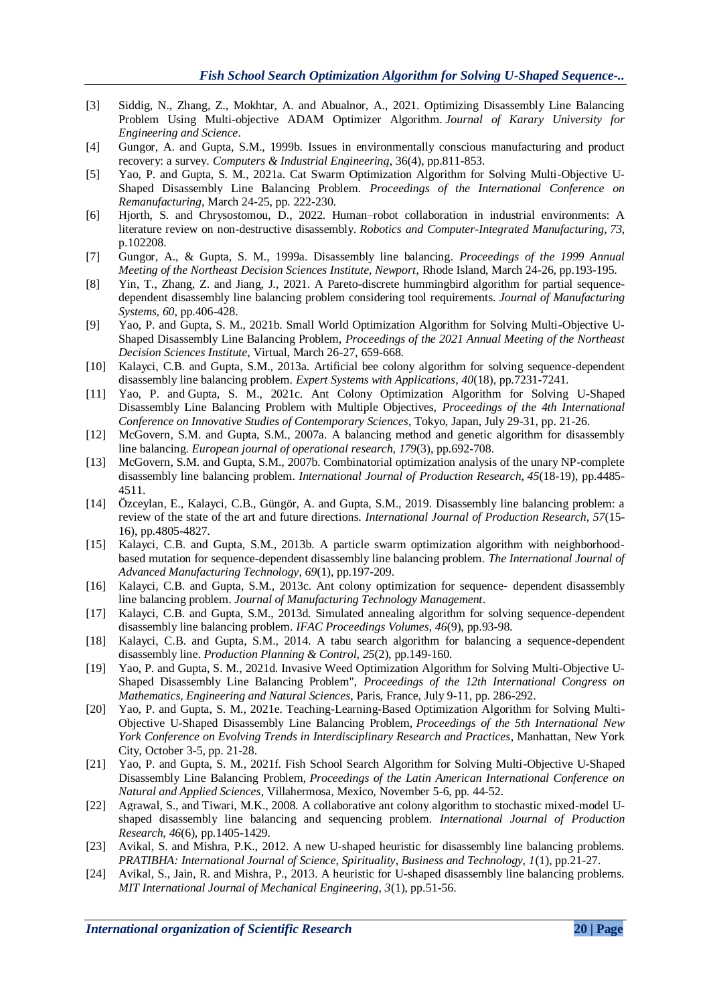- [3] Siddig, N., Zhang, Z., Mokhtar, A. and Abualnor, A., 2021. Optimizing Disassembly Line Balancing Problem Using Multi-objective ADAM Optimizer Algorithm. *Journal of Karary University for Engineering and Science*.
- [4] Gungor, A. and Gupta, S.M., 1999b. Issues in environmentally conscious manufacturing and product recovery: a survey. *Computers & Industrial Engineering*, 36(4), pp.811-853.
- [5] Yao, P. and Gupta, S. M., 2021a. Cat Swarm Optimization Algorithm for Solving Multi-Objective U-Shaped Disassembly Line Balancing Problem. *Proceedings of the International Conference on Remanufacturing*, March 24-25, pp. 222-230.
- [6] Hjorth, S. and Chrysostomou, D., 2022. Human–robot collaboration in industrial environments: A literature review on non-destructive disassembly. *Robotics and Computer-Integrated Manufacturing*, *73*, p.102208.
- [7] Gungor, A., & Gupta, S. M., 1999a. Disassembly line balancing. *Proceedings of the 1999 Annual Meeting of the Northeast Decision Sciences Institute, Newport*, Rhode Island, March 24-26, pp.193-195.
- [8] Yin, T., Zhang, Z. and Jiang, J., 2021. A Pareto-discrete hummingbird algorithm for partial sequencedependent disassembly line balancing problem considering tool requirements. *Journal of Manufacturing Systems*, *60*, pp.406-428.
- [9] Yao, P. and Gupta, S. M., 2021b. Small World Optimization Algorithm for Solving Multi-Objective U-Shaped Disassembly Line Balancing Problem, *Proceedings of the 2021 Annual Meeting of the Northeast Decision Sciences Institute*, Virtual, March 26-27, 659-668.
- [10] Kalayci, C.B. and Gupta, S.M., 2013a. Artificial bee colony algorithm for solving sequence-dependent disassembly line balancing problem. *Expert Systems with Applications*, *40*(18), pp.7231-7241.
- [11] Yao, P. and Gupta, S. M., 2021c. Ant Colony Optimization Algorithm for Solving U-Shaped Disassembly Line Balancing Problem with Multiple Objectives, *Proceedings of the 4th International Conference on Innovative Studies of Contemporary Sciences*, Tokyo, Japan, July 29-31, pp. 21-26.
- [12] McGovern, S.M. and Gupta, S.M., 2007a. A balancing method and genetic algorithm for disassembly line balancing. *European journal of operational research*, *179*(3), pp.692-708.
- [13] McGovern, S.M. and Gupta, S.M., 2007b. Combinatorial optimization analysis of the unary NP-complete disassembly line balancing problem. *International Journal of Production Research*, *45*(18-19), pp.4485- 4511.
- [14] Özceylan, E., Kalayci, C.B., Güngör, A. and Gupta, S.M., 2019. Disassembly line balancing problem: a review of the state of the art and future directions. *International Journal of Production Research, 57*(15- 16), pp.4805-4827.
- [15] Kalayci, C.B. and Gupta, S.M., 2013b. A particle swarm optimization algorithm with neighborhoodbased mutation for sequence-dependent disassembly line balancing problem. *The International Journal of Advanced Manufacturing Technology*, *69*(1), pp.197-209.
- [16] Kalayci, C.B. and Gupta, S.M., 2013c. Ant colony optimization for sequence- dependent disassembly line balancing problem. *Journal of Manufacturing Technology Management*.
- [17] Kalayci, C.B. and Gupta, S.M., 2013d. Simulated annealing algorithm for solving sequence-dependent disassembly line balancing problem. *IFAC Proceedings Volumes*, *46*(9), pp.93-98.
- [18] Kalayci, C.B. and Gupta, S.M., 2014. A tabu search algorithm for balancing a sequence-dependent disassembly line. *Production Planning & Control*, *25*(2), pp.149-160.
- [19] Yao, P. and Gupta, S. M., 2021d. Invasive Weed Optimization Algorithm for Solving Multi-Objective U-Shaped Disassembly Line Balancing Problem", *Proceedings of the 12th International Congress on Mathematics, Engineering and Natural Sciences*, Paris, France, July 9-11, pp. 286-292.
- [20] Yao, P. and Gupta, S. M., 2021e. Teaching-Learning-Based Optimization Algorithm for Solving Multi-Objective U-Shaped Disassembly Line Balancing Problem, *Proceedings of the 5th International New York Conference on Evolving Trends in Interdisciplinary Research and Practices*, Manhattan, New York City, October 3-5, pp. 21-28.
- [21] Yao, P. and Gupta, S. M., 2021f. Fish School Search Algorithm for Solving Multi-Objective U-Shaped Disassembly Line Balancing Problem, *Proceedings of the Latin American International Conference on Natural and Applied Sciences*, Villahermosa, Mexico, November 5-6, pp. 44-52.
- [22] Agrawal, S., and Tiwari, M.K., 2008. A collaborative ant colony algorithm to stochastic mixed-model Ushaped disassembly line balancing and sequencing problem. *International Journal of Production Research, 46*(6), pp.1405-1429.
- [23] Avikal, S. and Mishra, P.K., 2012. A new U-shaped heuristic for disassembly line balancing problems. *PRATIBHA: International Journal of Science, Spirituality, Business and Technology, 1*(1), pp.21-27.
- [24] Avikal, S., Jain, R. and Mishra, P., 2013. A heuristic for U-shaped disassembly line balancing problems. *MIT International Journal of Mechanical Engineering, 3*(1), pp.51-56.